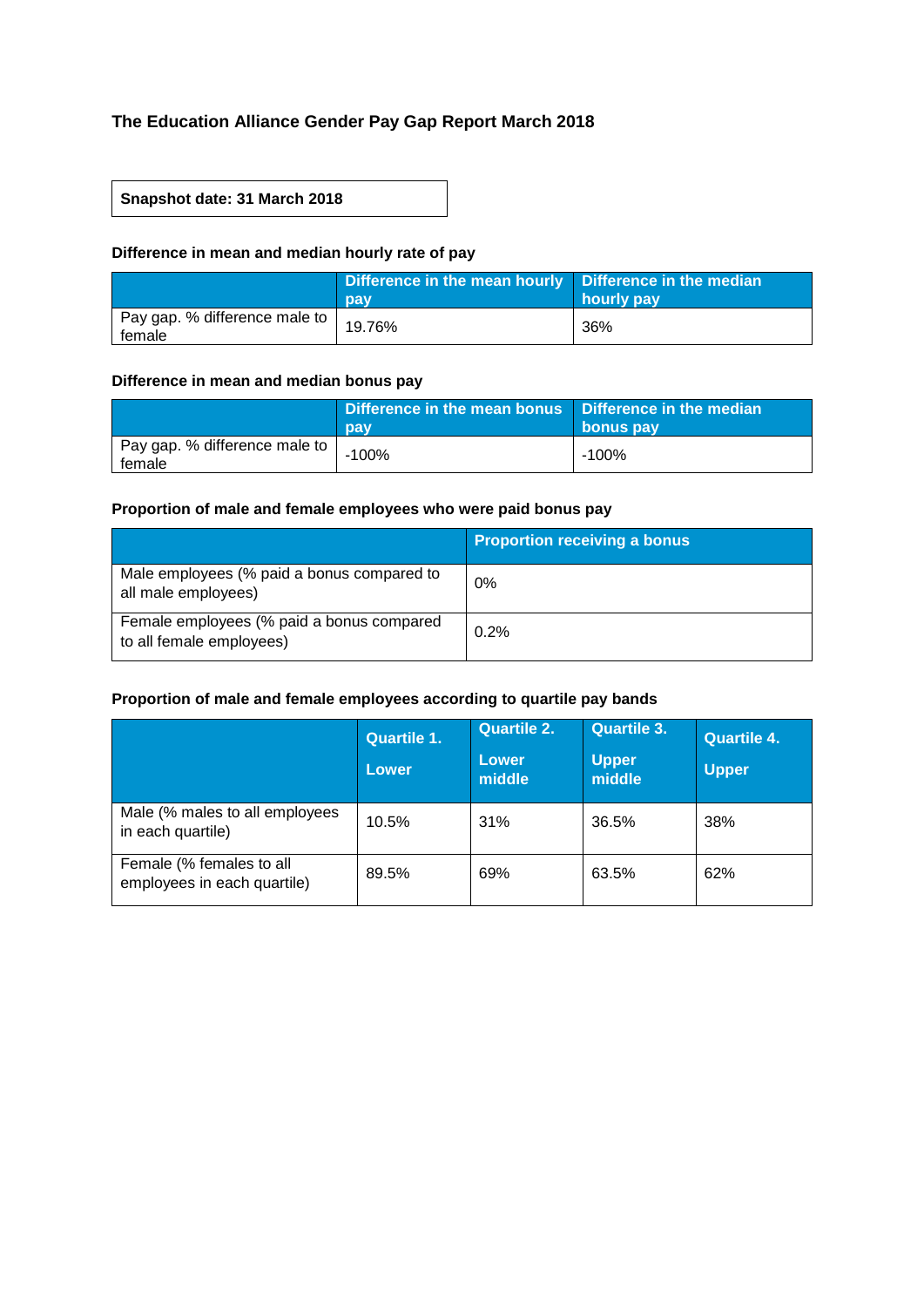# **The Education Alliance Gender Pay Gap Report March 2018**

## **Snapshot date: 31 March 2018**

## **Difference in mean and median hourly rate of pay**

|                                         | Difference in the mean hourly   Difference in the median<br>pay | hourly pay |
|-----------------------------------------|-----------------------------------------------------------------|------------|
| Pay gap. % difference male to<br>female | 19.76%                                                          | 36%        |

#### **Difference in mean and median bonus pay**

|                                         | Difference in the mean bonus Difference in the median<br>pay | bonus pay |
|-----------------------------------------|--------------------------------------------------------------|-----------|
| Pay gap. % difference male to<br>female | $-100%$                                                      | -100%     |

## **Proportion of male and female employees who were paid bonus pay**

|                                                                       | <b>Proportion receiving a bonus</b> |
|-----------------------------------------------------------------------|-------------------------------------|
| Male employees (% paid a bonus compared to<br>all male employees)     | 0%                                  |
| Female employees (% paid a bonus compared<br>to all female employees) | 0.2%                                |

## **Proportion of male and female employees according to quartile pay bands**

|                                                         | <b>Quartile 1.</b><br>Lower | <b>Quartile 2.</b><br>Lower<br>middle | Quartile 3.<br><b>Upper</b><br>middle | Quartile 4.<br><b>Upper</b> |
|---------------------------------------------------------|-----------------------------|---------------------------------------|---------------------------------------|-----------------------------|
| Male (% males to all employees<br>in each quartile)     | 10.5%                       | 31%                                   | 36.5%                                 | 38%                         |
| Female (% females to all<br>employees in each quartile) | 89.5%                       | 69%                                   | 63.5%                                 | 62%                         |